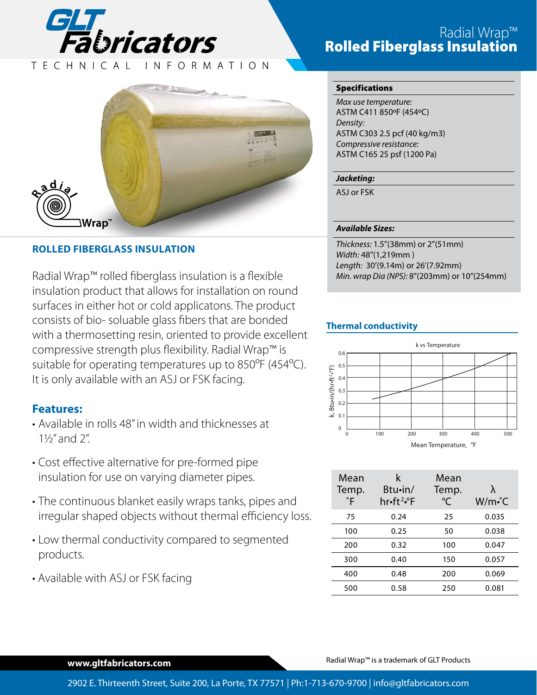

TECHNICAL INFORMATION



## **ROLLED FIBERGLASS INSULATION**

Radial Wrap™ rolled fiberglass insulation is a flexible insulation product that allows for installation on round surfaces in either hot or cold applicatons. The product consists of bio- soluable glass fibers that are bonded with a thermosetting resin, oriented to provide excellent compressive strength plus flexibility. Radial Wrap™ is suitable for operating temperatures up to 850ºF (454ºC). It is only available with an ASJ or FSK facing.

### **Features:**

- Available in rolls 48" in width and thicknesses at 1½" and 2".
- Cost effective alternative for pre-formed pipe insulation for use on varying diameter pipes.
- The continuous blanket easily wraps tanks, pipes and irregular shaped objects without thermal efficiency loss.
- Low thermal conductivity compared to segmented products.
- Available with ASJ or FSK facing

## **Radial Wrap™<br>Rolled Fiberglass Insulation**

#### Specifications

*Max use temperature:* ASTM C411 850ºF (454ºC) *Density:* ASTM C303 2.5 pcf (40 kg/m3) *Compressive resistance:* ASTM C165 25 psf (1200 Pa)

#### *Jacketing:*

ASJ or FSK

#### *Available Sizes:*

*Thickness:* 1.5"(38mm) or 2"(51mm) *Width:* 48"(1,219mm ) *Length:* 30'(9.14m) or 26'(7.92mm) *Min. wrap Dia (NPS):* 8"(203mm) or 10"(254mm)

#### **Thermal conductivity**



| Mean<br>Temp.<br>°F | k<br>Btu•in/<br>$hr-ft^2e^cF$ | Mean<br>Temp.<br>°C | λ<br>$W/m-C$ |
|---------------------|-------------------------------|---------------------|--------------|
| 75                  | 0.24                          | 25                  | 0.035        |
| 100                 | 0.25                          | 50                  | 0.038        |
| 200                 | 0.32                          | 100                 | 0.047        |
| 300                 | 0.40                          | 150                 | 0.057        |
| 400                 | 0.48                          | 200                 | 0.069        |
| 500                 | 0.58                          | 250                 | 0.081        |

Radial Wrap™ is a trademark of GLT Products

**www.gltfabricators.com**